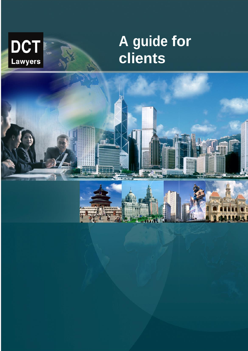**DCT**<br>Lawyers

# **A guide for clients**

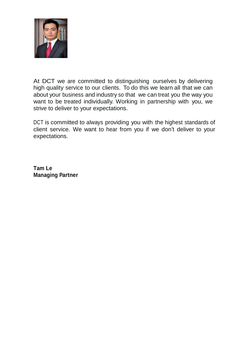

At DCT we are committed to distinguishing ourselves by delivering high quality service to our clients. To do this we learn all that we can about your business and industry so that we can treat you the way you want to be treated individually. Working in partnership with you, we strive to deliver to your expectations.

DCT is committed to always providing you with the highest standards of client service. We want to hear from you if we don't deliver to your expectations.

**Tam Le Managing Partner**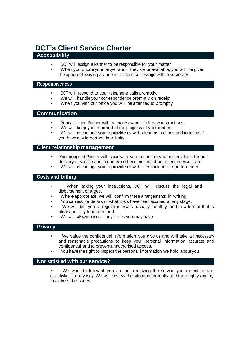# **DCT's Client Service Charter**

#### **Accessibility**

- DCT will assign a Partner to be responsible for your matter.
- When you phone your lawyer and if they are unavailable, you will be given the option of leaving a voice message or a message with a secretary.

#### **Responsiveness**

- DCT will respond to your telephone calls promptly.
- We will handle your correspondence promptly on receipt.
- When you visit our office you will be attended to promptly.

#### **Communication**

- Your assigned Partner will be made aware of all new instructions.
- We will keep you informed of the progress of your matter.
- We will encourage you to provide us with clear instructions and to tell us if you have any important time limits.

#### **Client relationship management**

- Your assigned Partner will liaise with you to confirm your expectations for our delivery of service and to confirm other members of our client service team.
- We will encourage you to provide us with feedback on our performance.

#### **Costs and billing**

- When taking your instructions, DCT will discuss the legal and disbursement charges.
- Where appropriate, we will confirm these arrangements in writing.
- You can ask for details of what costs have been accrued at any stage.
- We will bill you at regular intervals, usually monthly, and in a format that is clear and easy to understand.
- We will always discuss any issues you may have.

#### **Privacy**

- We value the confidential information you give us and will take all necessary and reasonable precautions to keep your personal information accurate and confidential and to prevent unauthorised access.
- You have the right to inspect the personal information we hold about you.

#### **Not satisfied with our service?**

We want to know if you are not receiving the service you expect or are dissatisfied in any way. We will review the situation promptly and thoroughly and try to address the issues.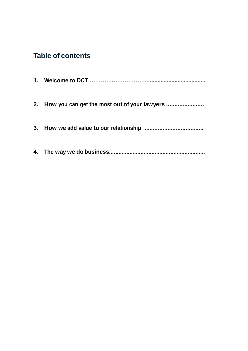# **Table of contents**

| 2. How you can get the most out of your lawyers |
|-------------------------------------------------|
|                                                 |
|                                                 |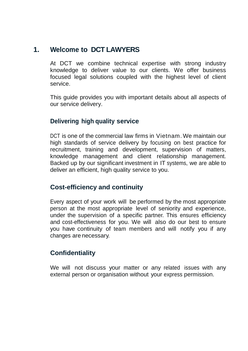# **1. Welcome to DCT LAWYERS**

At DCT we combine technical expertise with strong industry knowledge to deliver value to our clients. We offer business focused legal solutions coupled with the highest level of client service.

This guide provides you with important details about all aspects of our service delivery.

# **Delivering high quality service**

DCT is one of the commercial law firms in Vietnam. We maintain our high standards of service delivery by focusing on best practice for recruitment, training and development, supervision of matters, knowledge management and client relationship management. Backed up by our significant investment in IT systems, we are able to deliver an efficient, high quality service to you.

## **Cost-efficiency and continuity**

Every aspect of your work will be performed by the most appropriate person at the most appropriate level of seniority and experience, under the supervision of a specific partner. This ensures efficiency and cost-effectiveness for you. We will also do our best to ensure you have continuity of team members and will notify you if any changes are necessary.

# **Confidentiality**

We will not discuss your matter or any related issues with any external person or organisation without your express permission.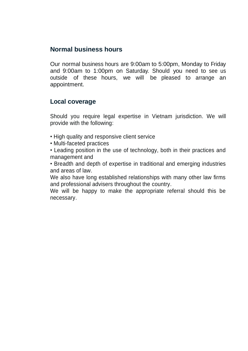# **Normal business hours**

Our normal business hours are 9:00am to 5:00pm, Monday to Friday and 9:00am to 1:00pm on Saturday. Should you need to see us outside of these hours, we will be pleased to arrange an appointment.

### **Local coverage**

Should you require legal expertise in Vietnam jurisdiction. We will provide with the following:

- High quality and responsive client service
- Multi-faceted practices
- Leading position in the use of technology, both in their practices and management and
- Breadth and depth of expertise in traditional and emerging industries and areas of law.

We also have long established relationships with many other law firms and professional advisers throughout the country.

We will be happy to make the appropriate referral should this be necessary.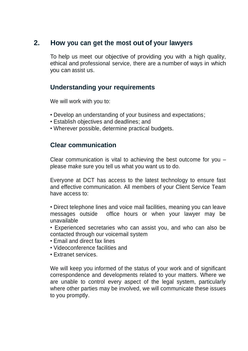# **2. How you can get the most out of your lawyers**

To help us meet our objective of providing you with a high quality, ethical and professional service, there are a number of ways in which you can assist us.

## **Understanding your requirements**

We will work with you to:

- Develop an understanding of your business and expectations;
- Establish objectives and deadlines; and
- Wherever possible, determine practical budgets.

### **Clear communication**

Clear communication is vital to achieving the best outcome for you – please make sure you tell us what you want us to do.

Everyone at DCT has access to the latest technology to ensure fast and effective communication. All members of your Client Service Team have access to:

• Direct telephone lines and voice mail facilities, meaning you can leave messages outside office hours or when your lawyer may be unavailable

• Experienced secretaries who can assist you, and who can also be contacted through our voicemail system

- Email and direct fax lines
- Videoconference facilities and
- Extranet services.

We will keep you informed of the status of your work and of significant correspondence and developments related to your matters. Where we are unable to control every aspect of the legal system, particularly where other parties may be involved, we will communicate these issues to you promptly.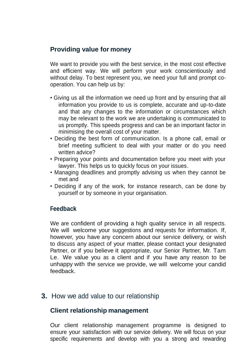# **Providing value for money**

We want to provide you with the best service, in the most cost effective and efficient way. We will perform your work conscientiously and without delay. To best represent you, we need your full and prompt cooperation. You can help us by:

- Giving us all the information we need up front and by ensuring that all information you provide to us is complete, accurate and up-to-date and that any changes to the information or circumstances which may be relevant to the work we are undertaking is communicated to us promptly. This speeds progress and can be an important factor in minimising the overall cost of your matter.
- Deciding the best form of communication. Is a phone call, email or brief meeting sufficient to deal with your matter or do you need written advice?
- Preparing your points and documentation before you meet with your lawyer. This helps us to quickly focus on your issues.
- Managing deadlines and promptly advising us when they cannot be met and
- Deciding if any of the work, for instance research, can be done by yourself or by someone in your organisation.

## **Feedback**

We are confident of providing a high quality service in all respects. We will welcome your suggestions and requests for information. If, however, you have any concern about our service delivery, or wish to discuss any aspect of your matter, please contact your designated Partner, or if you believe it appropriate, our Senior Partner, Mr. Tam Le. We value you as a client and if you have any reason to be unhappy with the service we provide, we will welcome your candid feedback.

## **3.** How we add value to our relationship

#### **Client relationship management**

Our client relationship management programme is designed to ensure your satisfaction with our service delivery. We will focus on your specific requirements and develop with you a strong and rewarding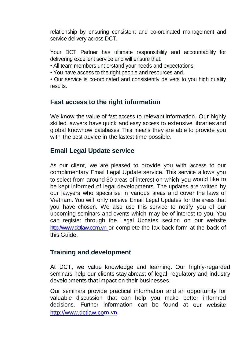relationship by ensuring consistent and co-ordinated management and service delivery across DCT.

Your DCT Partner has ultimate responsibility and accountability for delivering excellent service and will ensure that:

• All team members understand your needs and expectations.

• You have access to the right people and resources and.

• Our service is co-ordinated and consistently delivers to you high quality results.

# **Fast access to the right information**

We know the value of fast access to relevant information. Our highly skilled lawyers have quick and easy access to extensive libraries and global knowhow databases. This means they are able to provide you with the best advice in the fastest time possible.

# **Email Legal Update service**

As our client, we are pleased to provide you with access to our complimentary Email Legal Update service. This service allows you to select from around 30 areas of interest on which you would like to be kept informed of legal developments. The updates are written by our lawyers who specialise in various areas and cover the laws of Vietnam. You will only receive Email Legal Updates for the areas that you have chosen. We also use this service to notify you of our upcoming seminars and events which may be of interest to you. You can register through the Legal Updates section on our website [http://www.dctlaw.com](http://www.dctlaw.com/).vn or complete the fax back form at the back of this Guide.

## **Training and development**

At DCT, we value knowledge and learning. Our highly-regarded seminars help our clients stay abreast of legal, regulatory and industry developments that impact on their businesses.

Our seminars provide practical information and an opportunity for valuable discussion that can help you make better informed decisions. Further information can be found at our website [http://www.dctlaw.co](http://www.dctlaw.co/)m.vn.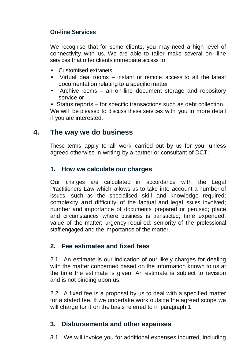# **On-line Services**

We recognise that for some clients, you may need a high level of connectivity with us. We are able to tailor make several on- line services that offer clients immediate access to:

- Customised extranets
- Virtual deal rooms instant or remote access to all the latest documentation relating to a specific matter
- Archive rooms an on-line document storage and repository service or

• Status reports – for specific transactions such as debt collection. We will be pleased to discuss these services with you in more detail if you are interested.

# **4. The way we do business**

These terms apply to all work carried out by us for you, unless agreed otherwise in writing by a partner or consultant of DCT.

# **1. How we calculate our charges**

Our charges are calculated in accordance with the Legal Practitioners Law which allows us to take into account a number of issues, such as the specialised skill and knowledge required; complexity and difficulty of the factual and legal issues involved; number and importance of documents prepared or perused; place and circumstances where business is transacted; time expended; value of the matter; urgency required; seniority of the professional staff engaged and the importance of the matter.

# **2. Fee estimates and fixed fees**

2.1 An estimate is our indication of our likely charges for dealing with the matter concerned based on the information known to us at the time the estimate is given. An estimate is subject to revision and is not binding upon us.

2.2 A fixed fee is a proposal by us to deal with a specified matter for a stated fee. If we undertake work outside the agreed scope we will charge for it on the basis referred to in paragraph 1.

# **3. Disbursements and other expenses**

3.1 We will invoice you for additional expenses incurred, including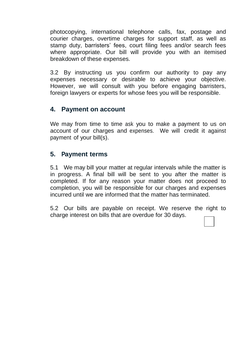photocopying, international telephone calls, fax, postage and courier charges, overtime charges for support staff, as well as stamp duty, barristers' fees, court filing fees and/or search fees where appropriate. Our bill will provide you with an itemised breakdown of these expenses.

3.2 By instructing us you confirm our authority to pay any expenses necessary or desirable to achieve your objective. However, we will consult with you before engaging barristers, foreign lawyers or experts for whose fees you will be responsible.

# **4. Payment on account**

We may from time to time ask you to make a payment to us on account of our charges and expenses. We will credit it against payment of your bill(s).

# **5. Payment terms**

5.1 We may bill your matter at regular intervals while the matter is in progress. A final bill will be sent to you after the matter is completed. If for any reason your matter does not proceed to completion, you will be responsible for our charges and expenses incurred until we are informed that the matter has terminated.

5.2 Our bills are payable on receipt. We reserve the right to charge interest on bills that are overdue for 30 days.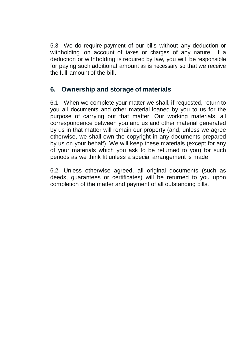5.3 We do require payment of our bills without any deduction or withholding on account of taxes or charges of any nature. If a deduction or withholding is required by law, you will be responsible for paying such additional amount as is necessary so that we receive the full amount of the bill.

# **6. Ownership and storage of materials**

6.1 When we complete your matter we shall, if requested, return to you all documents and other material loaned by you to us for the purpose of carrying out that matter. Our working materials, all correspondence between you and us and other material generated by us in that matter will remain our property (and, unless we agree otherwise, we shall own the copyright in any documents prepared by us on your behalf). We will keep these materials (except for any of your materials which you ask to be returned to you) for such periods as we think fit unless a special arrangement is made.

6.2 Unless otherwise agreed, all original documents (such as deeds, guarantees or certificates) will be returned to you upon completion of the matter and payment of all outstanding bills.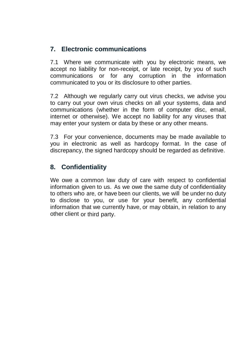# **7. Electronic communications**

7.1 Where we communicate with you by electronic means, we accept no liability for non-receipt, or late receipt, by you of such communications or for any corruption in the information communicated to you or its disclosure to other parties.

7.2 Although we regularly carry out virus checks, we advise you to carry out your own virus checks on all your systems, data and communications (whether in the form of computer disc, email, internet or otherwise). We accept no liability for any viruses that may enter your system or data by these or any other means.

7.3 For your convenience, documents may be made available to you in electronic as well as hardcopy format. In the case of discrepancy, the signed hardcopy should be regarded as definitive.

# **8. Confidentiality**

We owe a common law duty of care with respect to confidential information given to us. As we owe the same duty of confidentiality to others who are, or have been our clients, we will be under no duty to disclose to you, or use for your benefit, any confidential information that we currently have, or may obtain, in relation to any other client or third party.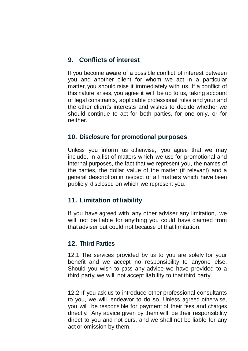# **9. Conflicts of interest**

If you become aware of a possible conflict of interest between you and another client for whom we act in a particular matter, you should raise it immediately with us. If a conflict of this nature arises, you agree it will be up to us, taking account of legal constraints, applicable professional rules and your and the other client's interests and wishes to decide whether we should continue to act for both parties, for one only, or for neither.

#### **10. Disclosure for promotional purposes**

Unless you inform us otherwise, you agree that we may include, in a list of matters which we use for promotional and internal purposes, the fact that we represent you, the names of the parties, the dollar value of the matter (if relevant) and a general description in respect of all matters which have been publicly disclosed on which we represent you.

#### **11. Limitation of liability**

If you have agreed with any other adviser any limitation, we will not be liable for anything you could have claimed from that adviser but could not because of that limitation.

#### **12. Third Parties**

12.1 The services provided by us to you are solely for your benefit and we accept no responsibility to anyone else. Should you wish to pass any advice we have provided to a third party, we will not accept liability to that third party.

12.2 If you ask us to introduce other professional consultants to you, we will endeavor to do so. Unless agreed otherwise, you will be responsible for payment of their fees and charges directly. Any advice given by them will be their responsibility direct to you and not ours, and we shall not be liable for any act or omission by them.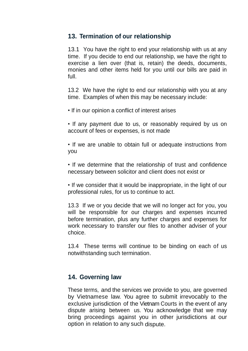## **13. Termination of our relationship**

13.1 You have the right to end your relationship with us at any time. If you decide to end our relationship, we have the right to exercise a lien over (that is, retain) the deeds, documents, monies and other items held for you until our bills are paid in full.

13.2 We have the right to end our relationship with you at any time. Examples of when this may be necessary include:

• If in our opinion a conflict of interest arises

• If any payment due to us, or reasonably required by us on account of fees or expenses, is not made

• If we are unable to obtain full or adequate instructions from you

• If we determine that the relationship of trust and confidence necessary between solicitor and client does not exist or

• If we consider that it would be inappropriate, in the light of our professional rules, for us to continue to act.

13.3 If we or you decide that we will no longer act for you, you will be responsible for our charges and expenses incurred before termination, plus any further charges and expenses for work necessary to transfer our files to another adviser of your choice.

13.4 These terms will continue to be binding on each of us notwithstanding such termination.

#### **14. Governing law**

These terms, and the services we provide to you, are governed by Vietnamese law. You agree to submit irrevocably to the exclusive jurisdiction of the Vietnam Courts in the event of any dispute arising between us. You acknowledge that we may bring proceedings against you in other jurisdictions at our option in relation to any such dispute.